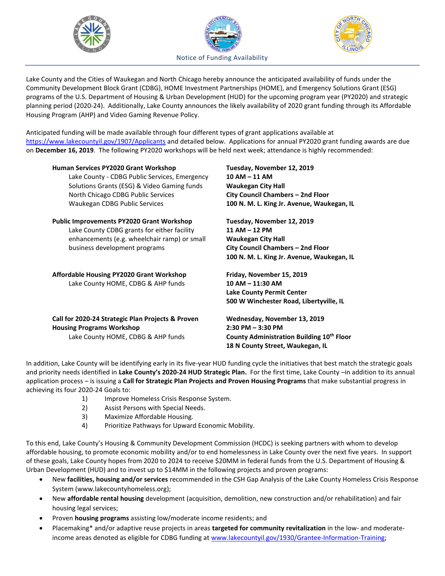





Lake County and the Cities of Waukegan and North Chicago hereby announce the anticipated availability of funds under the Community Development Block Grant (CDBG), HOME Investment Partnerships (HOME), and Emergency Solutions Grant (ESG) programs of the U.S. Department of Housing & Urban Development (HUD) for the upcoming program year (PY2020) and strategic planning period (2020-24). Additionally, Lake County announces the likely availability of 2020 grant funding through its Affordable Housing Program (AHP) and Video Gaming Revenue Policy.

Anticipated funding will be made available through four different types of grant applications available at <https://www.lakecountyil.gov/1907/Applicants> and detailed below. Applications for annual PY2020 grant funding awards are due on **December 16, 2019**. The following PY2020 workshops will be held next week; attendance is highly recommended:

| Human Services PY2020 Grant Workshop<br>Lake County - CDBG Public Services, Emergency<br>Solutions Grants (ESG) & Video Gaming funds<br>North Chicago CDBG Public Services<br>Waukegan CDBG Public Services | Tuesday, November 12, 2019<br>$10 AM - 11 AM$<br><b>Waukegan City Hall</b><br>City Council Chambers - 2nd Floor<br>100 N. M. L. King Jr. Avenue, Waukegan, IL |
|-------------------------------------------------------------------------------------------------------------------------------------------------------------------------------------------------------------|---------------------------------------------------------------------------------------------------------------------------------------------------------------|
| <b>Public Improvements PY2020 Grant Workshop</b><br>Lake County CDBG grants for either facility<br>enhancements (e.g. wheelchair ramp) or small<br>business development programs                            | Tuesday, November 12, 2019<br>11 AM - 12 PM<br><b>Waukegan City Hall</b><br>City Council Chambers - 2nd Floor<br>100 N. M. L. King Jr. Avenue, Waukegan, IL   |
| Affordable Housing PY2020 Grant Workshop<br>Lake County HOME, CDBG & AHP funds                                                                                                                              | Friday, November 15, 2019<br>$10 AM - 11:30 AM$<br><b>Lake County Permit Center</b><br>500 W Winchester Road, Libertyville, IL                                |
| Call for 2020-24 Strategic Plan Projects & Proven<br><b>Housing Programs Workshop</b><br>Lake County HOME, CDBG & AHP funds                                                                                 | Wednesday, November 13, 2019<br>$2:30$ PM $-3:30$ PM<br>County Administration Building 10th Floor<br>18 N County Street, Waukegan, IL                         |

In addition, Lake County will be identifying early in its five-year HUD funding cycle the initiatives that best match the strategic goals and priority needs identified in **Lake County's 2020-24 HUD Strategic Plan.** For the first time, Lake County –in addition to its annual application process – is issuing a **Call for Strategic Plan Projects and Proven Housing Programs** that make substantial progress in achieving its four 2020-24 Goals to:

- 1) Improve Homeless Crisis Response System.
- 2) Assist Persons with Special Needs.
- 3) Maximize Affordable Housing.
- 4) Prioritize Pathways for Upward Economic Mobility.

To this end, Lake County's Housing & Community Development Commission (HCDC) is seeking partners with whom to develop affordable housing, to promote economic mobility and/or to end homelessness in Lake County over the next five years. In support of these goals, Lake County hopes from 2020 to 2024 to receive \$20MM in federal funds from the U.S. Department of Housing & Urban Development (HUD) and to invest up to \$14MM in the following projects and proven programs:

- New **facilities, housing and/or services** recommended in the CSH Gap Analysis of the Lake County Homeless Crisis Response System (www.lakecountyhomeless.org);
- New **affordable rental housing** development (acquisition, demolition, new construction and/or rehabilitation) and fair housing legal services;
- Proven **housing programs** assisting low/moderate income residents; and
- Placemaking\* and/or adaptive reuse projects in areas **targeted for community revitalization** in the low- and moderateincome areas denoted as eligible for CDBG funding a[t www.lakecountyil.gov/1930/Grantee-Information-Training;](http://www.lakecountyil.gov/1930/Grantee-Information-Training)